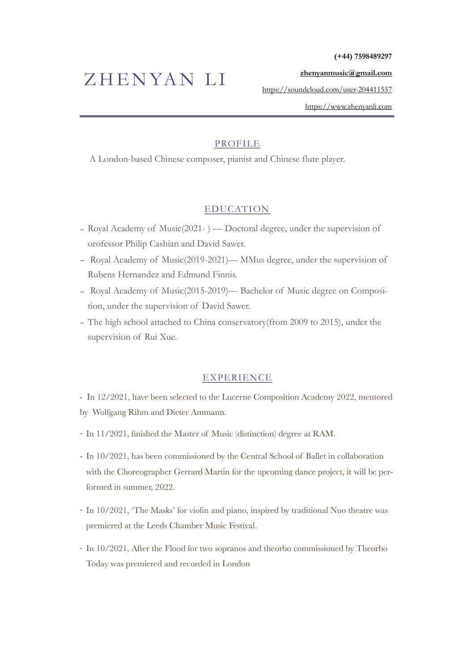**(+44) 7598489297** 

#### **[zhenyanmusic@gmail.com](mailto:zhenyanmusic@gmail.com)**

<https://soundcloud.com/user-204411557>

<https://www.zhenyanli.com>

## PROFILE

A London-based Chinese composer, pianist and Chinese flute player.

## EDUCATION

- Royal Academy of Music(2021- ) Doctoral degree, under the supervision of orofessor Philip Cashian and David Sawer.
- Royal Academy of Music(2019-2021)— MMus degree, under the supervision of Rubens Hernandez and Edmund Finnis.
- Royal Academy of Music(2015-2019)— Bachelor of Music degree on Composition, under the supervision of David Sawer.
- The high school attached to China conservatory(from 2009 to 2015), under the supervision of Rui Xue.

### EXPERIENCE

- In 12/2021, have been selected to the Lucerne Composition Academy 2022, mentored by Wolfgang Rihm and Dieter Ammann.
- *-* In 11/2021, finished the Master of Music (distinction) degree at RAM.
- *-* In 10/2021, has been commissioned by the Central School of Ballet in collaboration with the Choreographer Gerrard Martin for the upcoming dance project, it will be performed in summer, 2022.
- *-* In 10/2021, 'The Masks' for violin and piano, inspired by traditional Nuo theatre was premiered at the Leeds Chamber Music Festival.
- *-* In 10/2021, After the Flood for two sopranos and theorbo commissioned by Theorbo Today was premiered and recorded in London

# ZHENYAN LI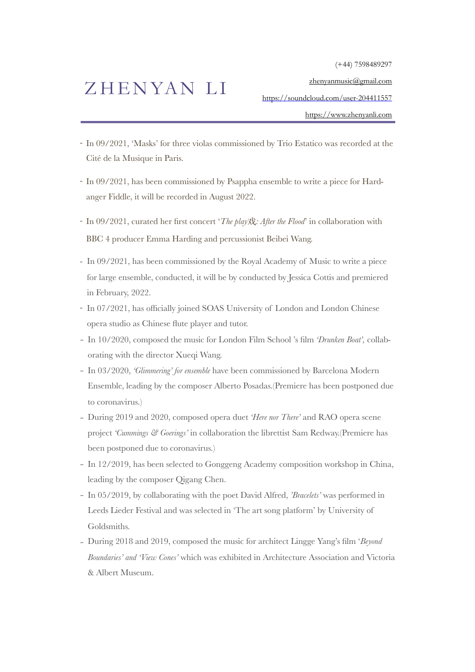(+44) 7598489297

[zhenyanmusic@gmail.com](mailto:zhenyanmusic@gmail.com)

## ZHENYAN LI

<https://soundcloud.com/user-204411557>

<https://www.zhenyanli.com>

- *-* In 09/2021, 'Masks' for three violas commissioned by Trio Estatico was recorded at the Cité de la Musique in Paris.
- *-* In 09/2021, has been commissioned by Psappha ensemble to write a piece for Hardanger Fiddle, it will be recorded in August 2022.
- *-* In 09/2021, curated her first concert '*The play*戏*: After the Flood*' in collaboration with BBC 4 producer Emma Harding and percussionist Beibei Wang.
- *-* In 09/2021, has been commissioned by the Royal Academy of Music to write a piece for large ensemble, conducted, it will be by conducted by Jessica Cottis and premiered in February, 2022.
- *-* In 07/2021, has officially joined SOAS University of London and London Chinese opera studio as Chinese flute player and tutor.
- In 10/2020, composed the music for London Film School 's film *'Drunken Boat',* collaborating with the director Xueqi Wang.
- In 03/2020, *'Glimmering' for ensemble* have been commissioned by Barcelona Modern Ensemble, leading by the composer Alberto Posadas.(Premiere has been postponed due to coronavirus.)
- During 2019 and 2020, composed opera duet *'Here nor There'* and RAO opera scene project *'Cummings & Goerings'* in collaboration the librettist Sam Redway.(Premiere has been postponed due to coronavirus.)
- In 12/2019, has been selected to Gonggeng Academy composition workshop in China, leading by the composer Qigang Chen.
- In 05/2019, by collaborating with the poet David Alfred, *'Bracelets'* was performed in Leeds Lieder Festival and was selected in 'The art song platform' by University of Goldsmiths.
- During 2018 and 2019, composed the music for architect Lingge Yang's film '*Beyond Boundaries' and 'View Cones'* which was exhibited in Architecture Association and Victoria & Albert Museum.